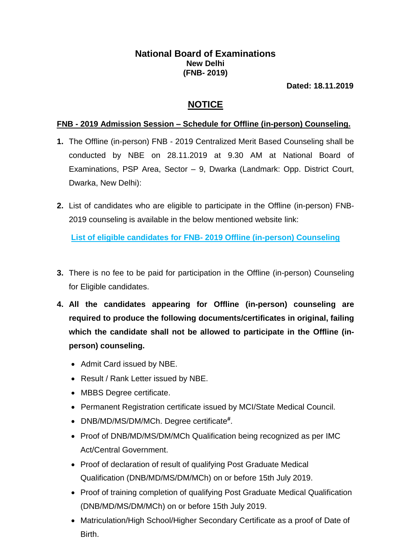## **National Board of Examinations New Delhi (FNB- 2019)**

**Dated: 18.11.2019**

## **NOTICE**

## **FNB - 2019 Admission Session – Schedule for Offline (in-person) Counseling.**

- **1.** The Offline (in-person) FNB 2019 Centralized Merit Based Counseling shall be conducted by NBE on 28.11.2019 at 9.30 AM at National Board of Examinations, PSP Area, Sector – 9, Dwarka (Landmark: Opp. District Court, Dwarka, New Delhi):
- **2.** List of candidates who are eligible to participate in the Offline (in-person) FNB-2019 counseling is available in the below mentioned website link:

**List of eligible candidates for FNB- [2019 Offline \(in-person\) Counseling](natboard.edu.in/pdoof/pbnotice2019/ELIGIBLE%20CANDIDATES%20FOR%20FNB-2019.pdf?v=b87342h021fd83218)**

- **3.** There is no fee to be paid for participation in the Offline (in-person) Counseling for Eligible candidates.
- **4. All the candidates appearing for Offline (in-person) counseling are required to produce the following documents/certificates in original, failing which the candidate shall not be allowed to participate in the Offline (inperson) counseling.**
	- Admit Card issued by NBE.
	- Result / Rank Letter issued by NBE.
	- MBBS Degree certificate.
	- Permanent Registration certificate issued by MCI/State Medical Council.
	- DNB/MD/MS/DM/MCh. Degree certificate **#** .
	- Proof of DNB/MD/MS/DM/MCh Qualification being recognized as per IMC Act/Central Government.
	- Proof of declaration of result of qualifying Post Graduate Medical Qualification (DNB/MD/MS/DM/MCh) on or before 15th July 2019.
	- Proof of training completion of qualifying Post Graduate Medical Qualification (DNB/MD/MS/DM/MCh) on or before 15th July 2019.
	- Matriculation/High School/Higher Secondary Certificate as a proof of Date of Birth.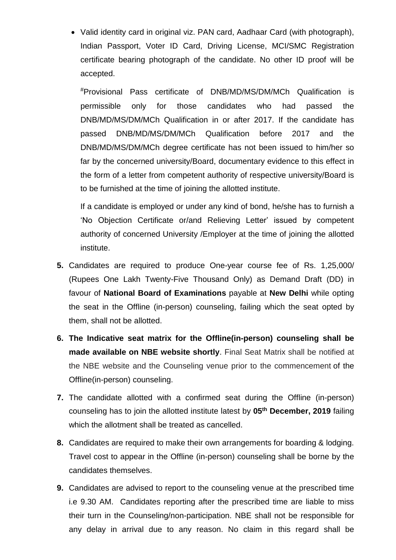Valid identity card in original viz. PAN card, Aadhaar Card (with photograph), Indian Passport, Voter ID Card, Driving License, MCI/SMC Registration certificate bearing photograph of the candidate. No other ID proof will be accepted.

#Provisional Pass certificate of DNB/MD/MS/DM/MCh Qualification is permissible only for those candidates who had passed the DNB/MD/MS/DM/MCh Qualification in or after 2017. If the candidate has passed DNB/MD/MS/DM/MCh Qualification before 2017 and the DNB/MD/MS/DM/MCh degree certificate has not been issued to him/her so far by the concerned university/Board, documentary evidence to this effect in the form of a letter from competent authority of respective university/Board is to be furnished at the time of joining the allotted institute.

If a candidate is employed or under any kind of bond, he/she has to furnish a 'No Objection Certificate or/and Relieving Letter' issued by competent authority of concerned University /Employer at the time of joining the allotted institute.

- **5.** Candidates are required to produce One-year course fee of Rs. 1,25,000/ (Rupees One Lakh Twenty-Five Thousand Only) as Demand Draft (DD) in favour of **National Board of Examinations** payable at **New Delhi** while opting the seat in the Offline (in-person) counseling, failing which the seat opted by them, shall not be allotted.
- **6. The Indicative seat matrix for the Offline(in-person) counseling shall be made available on NBE website shortly**. Final Seat Matrix shall be notified at the NBE website and the Counseling venue prior to the commencement of the Offline(in-person) counseling.
- **7.** The candidate allotted with a confirmed seat during the Offline (in-person) counseling has to join the allotted institute latest by **05th December, 2019** failing which the allotment shall be treated as cancelled.
- **8.** Candidates are required to make their own arrangements for boarding & lodging. Travel cost to appear in the Offline (in-person) counseling shall be borne by the candidates themselves.
- **9.** Candidates are advised to report to the counseling venue at the prescribed time i.e 9.30 AM. Candidates reporting after the prescribed time are liable to miss their turn in the Counseling/non-participation. NBE shall not be responsible for any delay in arrival due to any reason. No claim in this regard shall be